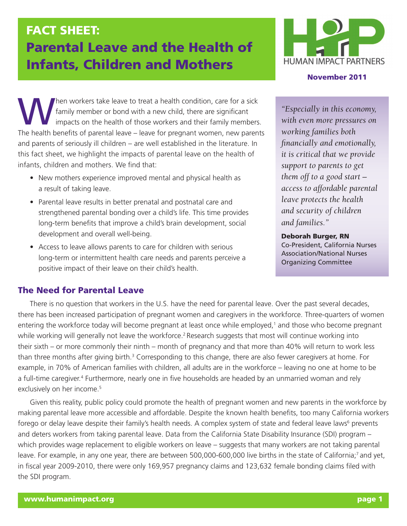# **FACT SHEET:** Parental Leave and the Health of Infants, Children and Mothers



November 2011

When workers take leave to treat a health condition, care for a sick<br>family member or bond with a new child, there are significant<br>impacts on the health of those workers and their family members<br>The health beautiful face a family member or bond with a new child, there are significant impacts on the health of those workers and their family members. The health benefits of parental leave – leave for pregnant women, new parents and parents of seriously ill children – are well established in the literature. In this fact sheet, we highlight the impacts of parental leave on the health of infants, children and mothers. We find that:

- New mothers experience improved mental and physical health as a result of taking leave.
- Parental leave results in better prenatal and postnatal care and strengthened parental bonding over a child's life. This time provides long-term benefits that improve a child's brain development, social development and overall well-being.
- Access to leave allows parents to care for children with serious long-term or intermittent health care needs and parents perceive a positive impact of their leave on their child's health.

*"Especially in this economy, with even more pressures on working families both financially and emotionally, it is critical that we provide support to parents to get them off to a good start – access to affordable parental leave protects the health and security of children and families."*

Deborah Burger, RN Co-President, California Nurses Association/National Nurses Organizing Committee

## The Need for Parental Leave

There is no question that workers in the U.S. have the need for parental leave. Over the past several decades, there has been increased participation of pregnant women and caregivers in the workforce. Three-quarters of women entering the workforce today will become pregnant at least once while employed,<sup>1</sup> and those who become pregnant while working will generally not leave the workforce.<sup>2</sup> Research suggests that most will continue working into their sixth – or more commonly their ninth – month of pregnancy and that more than 40% will return to work less than three months after giving birth.<sup>3</sup> Corresponding to this change, there are also fewer caregivers at home. For example, in 70% of American families with children, all adults are in the workforce – leaving no one at home to be a full-time caregiver.<sup>4</sup> Furthermore, nearly one in five households are headed by an unmarried woman and rely exclusively on her income.<sup>5</sup>

Given this reality, public policy could promote the health of pregnant women and new parents in the workforce by making parental leave more accessible and affordable. Despite the known health benefits, too many California workers forego or delay leave despite their family's health needs. A complex system of state and federal leave laws<sup>6</sup> prevents and deters workers from taking parental leave. Data from the California State Disability Insurance (SDI) program – which provides wage replacement to eligible workers on leave – suggests that many workers are not taking parental leave. For example, in any one year, there are between 500,000-600,000 live births in the state of California;<sup>7</sup> and yet, in fiscal year 2009-2010, there were only 169,957 pregnancy claims and 123,632 female bonding claims filed with the SDI program.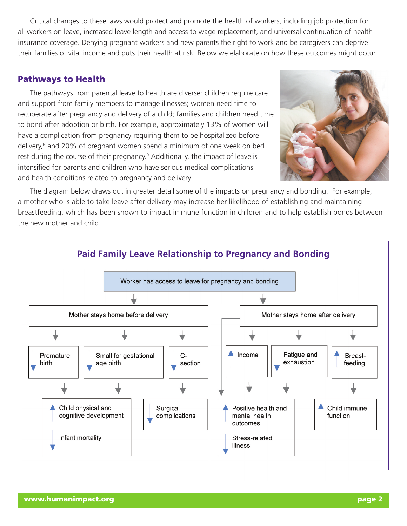Critical changes to these laws would protect and promote the health of workers, including job protection for all workers on leave, increased leave length and access to wage replacement, and universal continuation of health insurance coverage. Denying pregnant workers and new parents the right to work and be caregivers can deprive their families of vital income and puts their health at risk. Below we elaborate on how these outcomes might occur.

## Pathways to Health

The pathways from parental leave to health are diverse: children require care and support from family members to manage illnesses; women need time to recuperate after pregnancy and delivery of a child; families and children need time to bond after adoption or birth. For example, approximately 13% of women will have a complication from pregnancy requiring them to be hospitalized before delivery, $8$  and 20% of pregnant women spend a minimum of one week on bed rest during the course of their pregnancy.<sup>9</sup> Additionally, the impact of leave is intensified for parents and children who have serious medical complications and health conditions related to pregnancy and delivery.



 The diagram below draws out in greater detail some of the impacts on pregnancy and bonding. For example, a mother who is able to take leave after delivery may increase her likelihood of establishing and maintaining breastfeeding, which has been shown to impact immune function in children and to help establish bonds between the new mother and child.

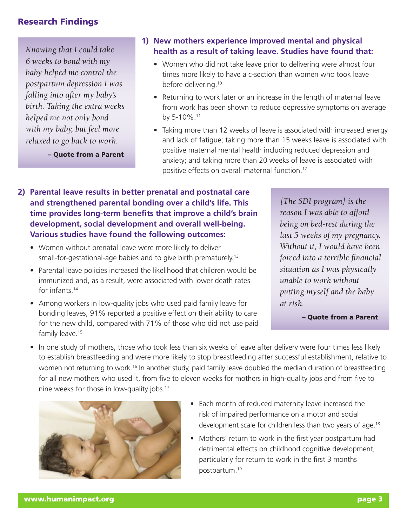### Research Findings

*Knowing that I could take 6 weeks to bond with my baby helped me control the postpartum depression I was falling into after my baby's birth. Taking the extra weeks helped me not only bond with my baby, but feel more relaxed to go back to work.*

– Quote from a Parent

- **1) New mothers experience improved mental and physical health as a result of taking leave. Studies have found that:**
	- Women who did not take leave prior to delivering were almost four times more likely to have a c-section than women who took leave before delivering.<sup>10</sup>
	- Returning to work later or an increase in the length of maternal leave from work has been shown to reduce depressive symptoms on average by 5-10%.<sup>11</sup>
	- Taking more than 12 weeks of leave is associated with increased energy and lack of fatigue; taking more than 15 weeks leave is associated with positive maternal mental health including reduced depression and anxiety; and taking more than 20 weeks of leave is associated with positive effects on overall maternal function.12

## **2) Parental leave results in better prenatal and postnatal care and strengthened parental bonding over a child's life. This time provides long-term benefits that improve a child's brain development, social development and overall well-being. Various studies have found the following outcomes:**

- Women without prenatal leave were more likely to deliver small-for-gestational-age babies and to give birth prematurely.<sup>13</sup>
- Parental leave policies increased the likelihood that children would be immunized and, as a result, were associated with lower death rates for infants<sup>14</sup>
- Among workers in low-quality jobs who used paid family leave for bonding leaves, 91% reported a positive effect on their ability to care for the new child, compared with 71% of those who did not use paid family leave.<sup>15</sup>

*[The SDI program] is the reason I was able to afford being on bed-rest during the last 5 weeks of my pregnancy. Without it, I would have been forced into a terrible financial situation as I was physically unable to work without putting myself and the baby at risk.*

– Quote from a Parent

• In one study of mothers, those who took less than six weeks of leave after delivery were four times less likely to establish breastfeeding and were more likely to stop breastfeeding after successful establishment, relative to women not returning to work.16 In another study, paid family leave doubled the median duration of breastfeeding for all new mothers who used it, from five to eleven weeks for mothers in high-quality jobs and from five to nine weeks for those in low-quality jobs.<sup>17</sup>



- Each month of reduced maternity leave increased the risk of impaired performance on a motor and social development scale for children less than two years of age.<sup>18</sup>
- Mothers' return to work in the first year postpartum had detrimental effects on childhood cognitive development, particularly for return to work in the first 3 months postpartum.<sup>19</sup>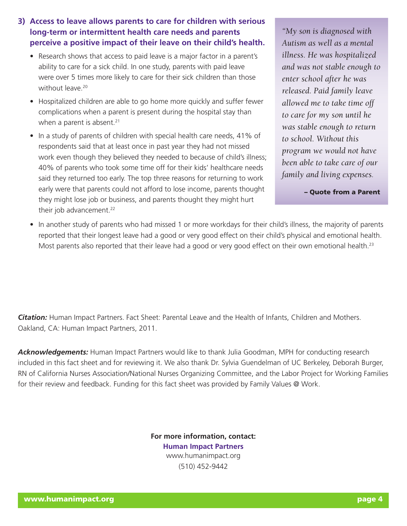## **3) Access to leave allows parents to care for children with serious long-term or intermittent health care needs and parents perceive a positive impact of their leave on their child's health.**

- Research shows that access to paid leave is a major factor in a parent's ability to care for a sick child. In one study, parents with paid leave were over 5 times more likely to care for their sick children than those without leave.<sup>20</sup>
- Hospitalized children are able to go home more quickly and suffer fewer complications when a parent is present during the hospital stay than when a parent is absent.<sup>21</sup>
- In a study of parents of children with special health care needs, 41% of respondents said that at least once in past year they had not missed work even though they believed they needed to because of child's illness; 40% of parents who took some time off for their kids' healthcare needs said they returned too early. The top three reasons for returning to work early were that parents could not afford to lose income, parents thought they might lose job or business, and parents thought they might hurt their job advancement.<sup>22</sup>

*"My son is diagnosed with Autism as well as a mental illness. He was hospitalized and was not stable enough to enter school after he was released. Paid family leave allowed me to take time off to care for my son until he was stable enough to return to school. Without this program we would not have been able to take care of our family and living expenses.*

– Quote from a Parent

• In another study of parents who had missed 1 or more workdays for their child's illness, the majority of parents reported that their longest leave had a good or very good effect on their child's physical and emotional health. Most parents also reported that their leave had a good or very good effect on their own emotional health.<sup>23</sup>

*Citation:* Human Impact Partners. Fact Sheet: Parental Leave and the Health of Infants, Children and Mothers. Oakland, CA: Human Impact Partners, 2011.

*Acknowledgements:* Human Impact Partners would like to thank Julia Goodman, MPH for conducting research included in this fact sheet and for reviewing it. We also thank Dr. Sylvia Guendelman of UC Berkeley, Deborah Burger, RN of California Nurses Association/National Nurses Organizing Committee, and the Labor Project for Working Families for their review and feedback. Funding for this fact sheet was provided by Family Values @ Work.

> **For more information, contact: Human Impact Partners** www.humanimpact.org (510) 452-9442